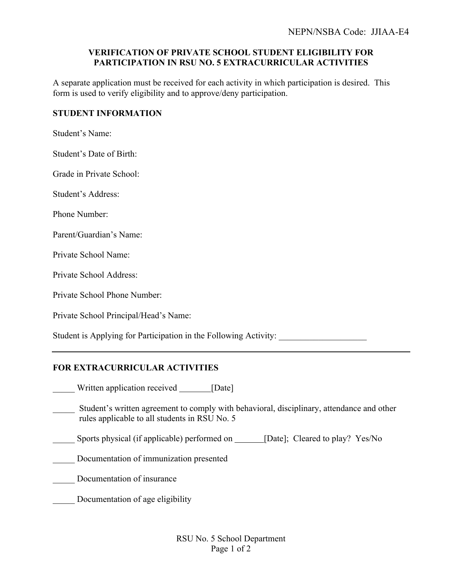## **VERIFICATION OF PRIVATE SCHOOL STUDENT ELIGIBILITY FOR PARTICIPATION IN RSU NO. 5 EXTRACURRICULAR ACTIVITIES**

A separate application must be received for each activity in which participation is desired. This form is used to verify eligibility and to approve/deny participation.

## **STUDENT INFORMATION**

Student's Name:

Student's Date of Birth:

Grade in Private School:

Student's Address:

Phone Number:

Parent/Guardian's Name:

Private School Name:

Private School Address:

Private School Phone Number:

Private School Principal/Head's Name:

Student is Applying for Participation in the Following Activity:

## **FOR EXTRACURRICULAR ACTIVITIES**

Uritten application received [Date]

Student's written agreement to comply with behavioral, disciplinary, attendance and other rules applicable to all students in RSU No. 5

Sports physical (if applicable) performed on \_\_\_\_\_\_ [Date]; Cleared to play? Yes/No

Documentation of immunization presented

- \_\_\_\_\_ Documentation of insurance
- Documentation of age eligibility

RSU No. 5 School Department Page 1 of 2